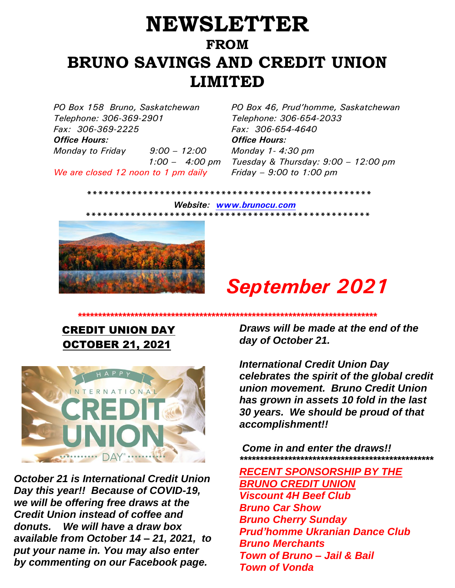## **NEWSLETTER FROM BRUNO SAVINGS AND CREDIT UNION LIMITED**

*PO Box 158 Bruno, Saskatchewan PO Box 46, Prud'homme, Saskatchewan Telephone: 306-369-2901 Fax: 306-369-2225 Office Hours: Office Hours: Monday to Friday 9:00 – 12:00 1:00 – 4:00 pm We are closed 12 noon to 1 pm daily*

*Telephone: 306-654-2033 Fax: 306-654-4640 Monday 1- 4:30 pm Tuesday & Thursday: 9:00 – 12:00 pm Friday – 9:00 to 1:00 pm*

 *\*\*\*\*\*\*\*\*\*\*\*\*\*\*\*\*\*\*\*\*\*\*\*\*\*\*\*\*\*\*\*\*\*\*\*\*\*\*\*\*\*\*\*\*\*\*\*\*\*\*\**

 *Website: [www.brunocu.com](http://www.brunocu.com/) \*\*\*\*\*\*\*\*\*\*\*\*\*\*\*\*\*\*\*\*\*\*\*\*\*\*\*\*\*\*\*\*\*\*\*\*\*\*\*\*\*\*\*\*\*\*\*\*\*\*\** 



# *September 2021*

### CREDIT UNION DAY OCTOBER 21, 2021



*October 21 is International Credit Union Day this year!! Because of COVID-19, we will be offering free draws at the Credit Union instead of coffee and donuts. We will have a draw box available from October 14 – 21, 2021, to put your name in. You may also enter by commenting on our Facebook page.*

*Draws will be made at the end of the day of October 21.* 

*\*\*\*\*\*\*\*\*\*\*\*\*\*\*\*\*\*\*\*\*\*\*\*\*\*\*\*\*\*\*\*\*\*\*\*\*\*\*\*\*\*\*\*\*\*\*\*\*\*\*\*\*\*\*\*\*\*\*\*\*\*\*\*\*\*\*\*\*\*\*\*\*\*\**

*International Credit Union Day celebrates the spirit of the global credit union movement. Bruno Credit Union has grown in assets 10 fold in the last 30 years. We should be proud of that accomplishment!!*

*Come in and enter the draws!! \*\*\*\*\*\*\*\*\*\*\*\*\*\*\*\*\*\*\*\*\*\*\*\*\*\*\*\*\*\*\*\*\*\*\*\*\*\*\*\*\*\*\*\*\*\*\*\**

*RECENT SPONSORSHIP BY THE BRUNO CREDIT UNION Viscount 4H Beef Club Bruno Car Show Bruno Cherry Sunday Prud'homme Ukranian Dance Club Bruno Merchants Town of Bruno – Jail & Bail Town of Vonda*